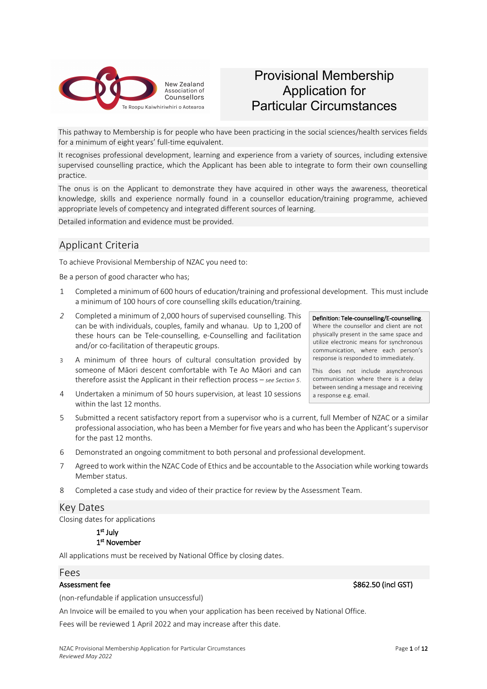

## Provisional Membership Application for Particular Circumstances

This pathway to Membership is for people who have been practicing in the social sciences/health services fields for a minimum of eight years' full-time equivalent.

It recognises professional development, learning and experience from a variety of sources, including extensive supervised counselling practice, which the Applicant has been able to integrate to form their own counselling practice.

The onus is on the Applicant to demonstrate they have acquired in other ways the awareness, theoretical knowledge, skills and experience normally found in a counsellor education/training programme, achieved appropriate levels of competency and integrated different sources of learning.

Detailed information and evidence must be provided.

## Applicant Criteria

To achieve Provisional Membership of NZAC you need to:

Be a person of good character who has;

- 1 Completed a minimum of 600 hours of education/training and professional development. This must include a minimum of 100 hours of core counselling skills education/training.
- *2* Completed a minimum of 2,000 hours of supervised counselling. This can be with individuals, couples, family and whanau. Up to 1,200 of these hours can be Tele-counselling, e-Counselling and facilitation and/or co-facilitation of therapeutic groups.
- 3 A minimum of three hours of cultural consultation provided by someone of Māori descent comfortable with Te Ao Māori and can therefore assist the Applicant in their reflection process – *see Section 5*.
- 4 Undertaken a minimum of 50 hours supervision, at least 10 sessions within the last 12 months.
- 5 Submitted a recent satisfactory report from a supervisor who is a current, full Member of NZAC or a similar professional association, who has been a Member for five years and who has been the Applicant's supervisor for the past 12 months.
- 6 Demonstrated an ongoing commitment to both personal and professional development.
- 7 Agreed to work within the NZAC Code of Ethics and be accountable to the Association while working towards Member status.
- 8 Completed a case study and video of their practice for review by the Assessment Team.

### Key Dates

Closing dates for applications

#### 1st July 1<sup>st</sup> November

All applications must be received by National Office by closing dates.

#### Fees

#### Assessment fee \$862.50 (incl GST)

(non-refundable if application unsuccessful)

An Invoice will be emailed to you when your application has been received by National Office.

Fees will be reviewed 1 April 2022 and may increase after this date.

### Definition: Tele-counselling/E-counselling. Where the counsellor and client are not physically present in the same space and utilize electronic means for synchronous communication, where each person's

response is responded to immediately.

This does not include asynchronous communication where there is a delay between sending a message and receiving a response e.g. email.

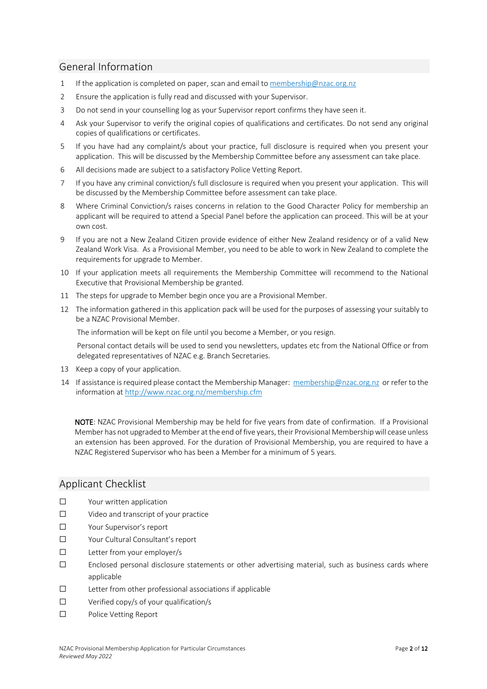## General Information

- 1 If the application is completed on paper, scan and email to membership@nzac.org.nz
- 2 Ensure the application is fully read and discussed with your Supervisor.
- 3 Do not send in your counselling log as your Supervisor report confirms they have seen it.
- 4 Ask your Supervisor to verify the original copies of qualifications and certificates. Do not send any original copies of qualifications or certificates.
- 5 If you have had any complaint/s about your practice, full disclosure is required when you present your application. This will be discussed by the Membership Committee before any assessment can take place.
- 6 All decisions made are subject to a satisfactory Police Vetting Report.
- 7 If you have any criminal conviction/s full disclosure is required when you present your application. This will be discussed by the Membership Committee before assessment can take place.
- 8 Where Criminal Conviction/s raises concerns in relation to the Good Character Policy for membership an applicant will be required to attend a Special Panel before the application can proceed. This will be at your own cost.
- 9 If you are not a New Zealand Citizen provide evidence of either New Zealand residency or of a valid New Zealand Work Visa. As a Provisional Member, you need to be able to work in New Zealand to complete the requirements for upgrade to Member.
- 10 If your application meets all requirements the Membership Committee will recommend to the National Executive that Provisional Membership be granted.
- 11 The steps for upgrade to Member begin once you are a Provisional Member.
- 12 The information gathered in this application pack will be used for the purposes of assessing your suitably to be a NZAC Provisional Member.

The information will be kept on file until you become a Member, or you resign.

Personal contact details will be used to send you newsletters, updates etc from the National Office or from delegated representatives of NZAC e.g. Branch Secretaries.

- 13 Keep a copy of your application.
- 14 If assistance is required please contact the Membership Manager: membership@nzac.org.nz or refer to the information at http://www.nzac.org.nz/membership.cfm

NOTE: NZAC Provisional Membership may be held for five years from date of confirmation. If a Provisional Member has not upgraded to Member at the end of five years, their Provisional Membership will cease unless an extension has been approved. For the duration of Provisional Membership, you are required to have a NZAC Registered Supervisor who has been a Member for a minimum of 5 years.

### Applicant Checklist

- ☐ Your written application
- ☐ Video and transcript of your practice
- ☐ Your Supervisor's report
- ☐ Your Cultural Consultant's report
- ☐ Letter from your employer/s
- ☐ Enclosed personal disclosure statements or other advertising material, such as business cards where applicable
- ☐ Letter from other professional associations if applicable
- ☐ Verified copy/s of your qualification/s
- ☐ Police Vetting Report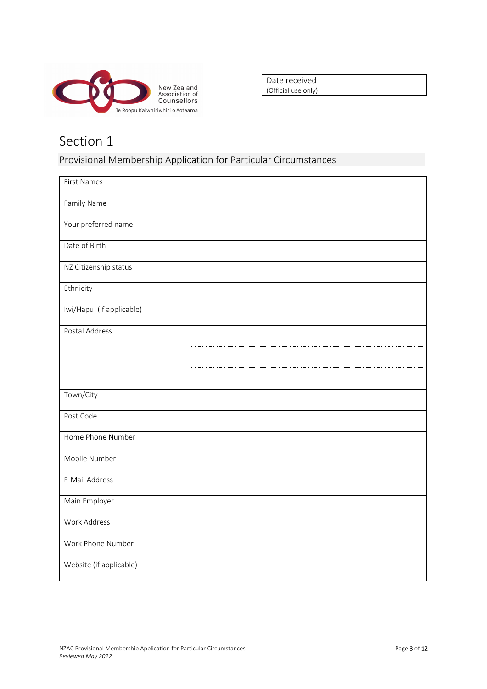

| Date received       |  |
|---------------------|--|
| (Official use only) |  |

## Provisional Membership Application for Particular Circumstances

| First Names              |  |
|--------------------------|--|
| Family Name              |  |
| Your preferred name      |  |
| Date of Birth            |  |
| NZ Citizenship status    |  |
| Ethnicity                |  |
| Iwi/Hapu (if applicable) |  |
| Postal Address           |  |
|                          |  |
|                          |  |
| Town/City                |  |
| Post Code                |  |
| Home Phone Number        |  |
| Mobile Number            |  |
| E-Mail Address           |  |
| Main Employer            |  |
| Work Address             |  |
| Work Phone Number        |  |
| Website (if applicable)  |  |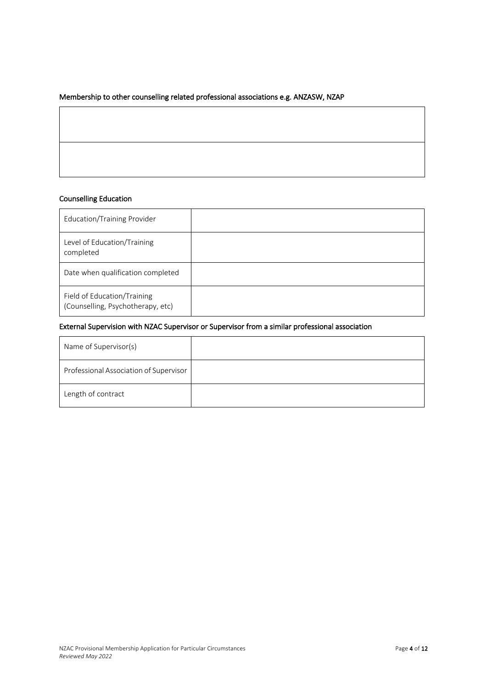### Membership to other counselling related professional associations e.g. ANZASW, NZAP

#### Counselling Education

| Education/Training Provider                                      |  |
|------------------------------------------------------------------|--|
| Level of Education/Training<br>completed                         |  |
| Date when qualification completed                                |  |
| Field of Education/Training<br>(Counselling, Psychotherapy, etc) |  |

#### External Supervision with NZAC Supervisor or Supervisor from a similar professional association

| Name of Supervisor(s)                  |  |
|----------------------------------------|--|
| Professional Association of Supervisor |  |
| Length of contract                     |  |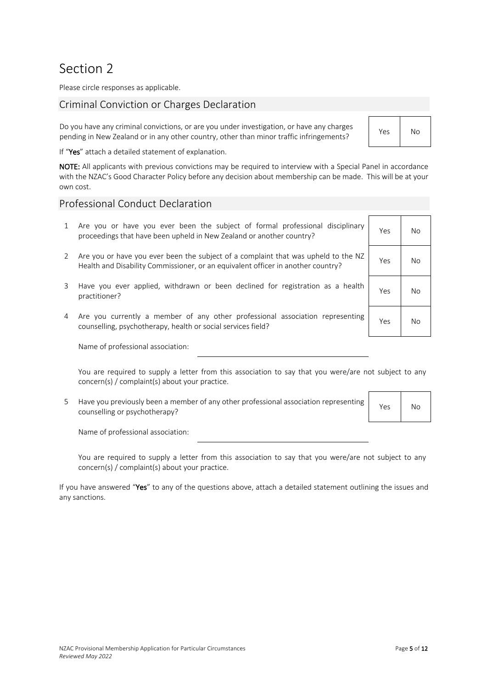Please circle responses as applicable.

## Criminal Conviction or Charges Declaration

Do you have any criminal convictions, or are you under investigation, or have any charges pending in New Zealand or in any other country, other than minor traffic infringements? Yes No

If "Yes" attach a detailed statement of explanation.

NOTE: All applicants with previous convictions may be required to interview with a Special Panel in accordance with the NZAC's Good Character Policy before any decision about membership can be made. This will be at your own cost.

### Professional Conduct Declaration

- 1 Are you or have you ever been the subject of formal professional disciplinary proceedings that have been upheld in New Zealand or another country?
- 2 Are you or have you ever been the subject of a complaint that was upheld to the NZ Health and Disability Commissioner, or an equivalent officer in another country?
- 3 Have you ever applied, withdrawn or been declined for registration as a health practitioner? Yes No
- 4 Are you currently a member of any other professional association representing Are you currently a member of any other professional association representing Yes No<br>counselling, psychotherapy, health or social services field?

Name of professional association:

You are required to supply a letter from this association to say that you were/are not subject to any concern(s) / complaint(s) about your practice.

5 Have you previously been a member of any other professional association representing riave you previously been a member or any other professional association representing Yes No

Name of professional association:

You are required to supply a letter from this association to say that you were/are not subject to any concern(s) / complaint(s) about your practice.

If you have answered "Yes" to any of the questions above, attach a detailed statement outlining the issues and any sanctions.

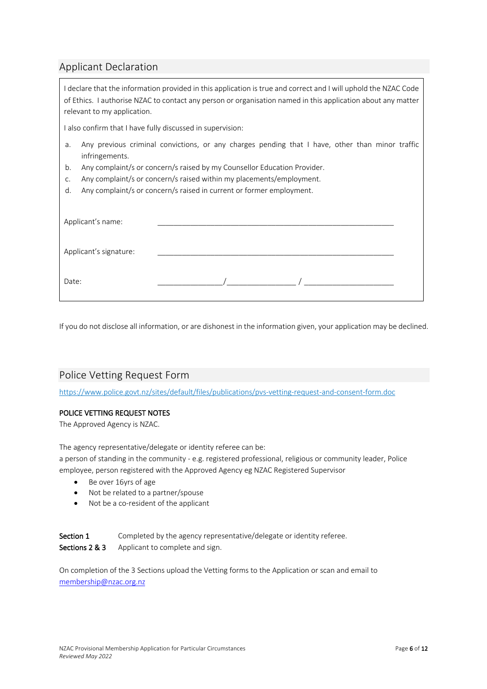## Applicant Declaration

| I declare that the information provided in this application is true and correct and I will uphold the NZAC Code<br>of Ethics. I authorise NZAC to contact any person or organisation named in this application about any matter<br>relevant to my application. |  |  |  |  |  |  |  |
|----------------------------------------------------------------------------------------------------------------------------------------------------------------------------------------------------------------------------------------------------------------|--|--|--|--|--|--|--|
| I also confirm that I have fully discussed in supervision:                                                                                                                                                                                                     |  |  |  |  |  |  |  |
| Any previous criminal convictions, or any charges pending that I have, other than minor traffic<br>a.<br>infringements.                                                                                                                                        |  |  |  |  |  |  |  |
| Any complaint/s or concern/s raised by my Counsellor Education Provider.<br>b.                                                                                                                                                                                 |  |  |  |  |  |  |  |
| Any complaint/s or concern/s raised within my placements/employment.<br>C.                                                                                                                                                                                     |  |  |  |  |  |  |  |
| Any complaint/s or concern/s raised in current or former employment.<br>d.                                                                                                                                                                                     |  |  |  |  |  |  |  |
| Applicant's name:                                                                                                                                                                                                                                              |  |  |  |  |  |  |  |
| Applicant's signature:                                                                                                                                                                                                                                         |  |  |  |  |  |  |  |
| Date:                                                                                                                                                                                                                                                          |  |  |  |  |  |  |  |

If you do not disclose all information, or are dishonest in the information given, your application may be declined.

## Police Vetting Request Form

https://www.police.govt.nz/sites/default/files/publications/pvs-vetting-request-and-consent-form.doc

#### POLICE VETTING REQUEST NOTES

The Approved Agency is NZAC.

The agency representative/delegate or identity referee can be:

a person of standing in the community - e.g. registered professional, religious or community leader, Police employee, person registered with the Approved Agency eg NZAC Registered Supervisor

- Be over 16yrs of age
- Not be related to a partner/spouse
- Not be a co-resident of the applicant

Section 1 Completed by the agency representative/delegate or identity referee. Sections 2 & 3 Applicant to complete and sign.

On completion of the 3 Sections upload the Vetting forms to the Application or scan and email to membership@nzac.org.nz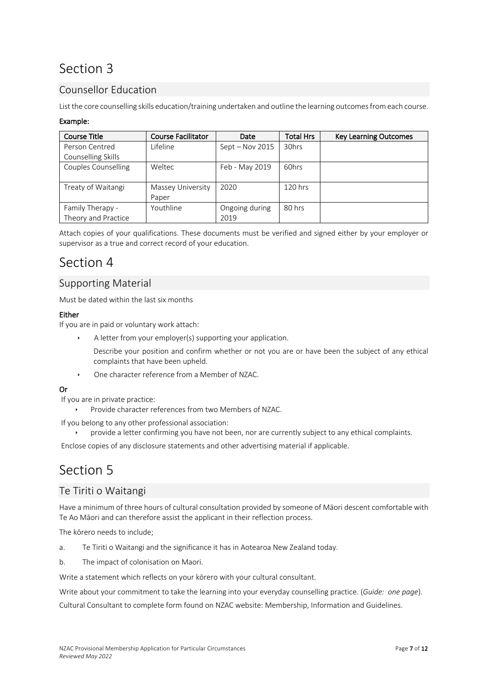## Counsellor Education

List the core counselling skills education/training undertaken and outline the learning outcomes from each course.

#### Example:

| <b>Course Title</b>        | <b>Course Facilitator</b> | Date            | <b>Total Hrs</b> | <b>Key Learning Outcomes</b> |
|----------------------------|---------------------------|-----------------|------------------|------------------------------|
| Person Centred             | Lifeline                  | Sept - Nov 2015 | 30hrs            |                              |
| Counselling Skills         |                           |                 |                  |                              |
| <b>Couples Counselling</b> | Weltec                    | Feb - May 2019  | 60hrs            |                              |
|                            |                           |                 |                  |                              |
| Treaty of Waitangi         | Massey University         | 2020            | 120 hrs          |                              |
|                            | Paper                     |                 |                  |                              |
| Family Therapy -           | Youthline                 | Ongoing during  | 80 hrs           |                              |
| Theory and Practice        |                           | 2019            |                  |                              |

Attach copies of your qualifications. These documents must be verified and signed either by your employer or supervisor as a true and correct record of your education.

## Section 4

## Supporting Material

Must be dated within the last six months

#### Either

If you are in paid or voluntary work attach:

A letter from your employer(s) supporting your application.

Describe your position and confirm whether or not you are or have been the subject of any ethical complaints that have been upheld.

ê One character reference from a Member of NZAC.

### Or

- If you are in private practice:
	- Provide character references from two Members of NZAC.

If you belong to any other professional association:

ê provide a letter confirming you have not been, nor are currently subject to any ethical complaints.

Enclose copies of any disclosure statements and other advertising material if applicable.

## Section 5

## Te Tiriti o Waitangi

Have a minimum of three hours of cultural consultation provided by someone of Māori descent comfortable with Te Ao Māori and can therefore assist the applicant in their reflection process.

The kōrero needs to include;

- a. Te Tiriti o Waitangi and the significance it has in Aotearoa New Zealand today.
- b. The impact of colonisation on Maori.

Write a statement which reflects on your kōrero with your cultural consultant.

Write about your commitment to take the learning into your everyday counselling practice. (*Guide: one page*). Cultural Consultant to complete form found on NZAC website: Membership, Information and Guidelines.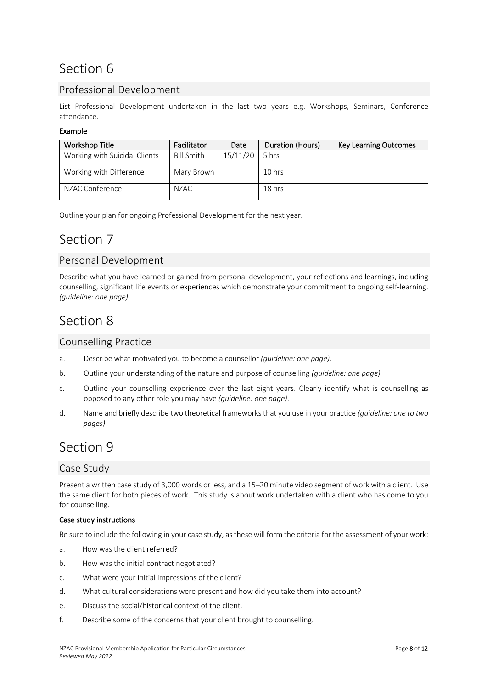## Professional Development

List Professional Development undertaken in the last two years e.g. Workshops, Seminars, Conference attendance.

### Example

| <b>Workshop Title</b>         | Facilitator       | Date     | Duration (Hours) | <b>Key Learning Outcomes</b> |
|-------------------------------|-------------------|----------|------------------|------------------------------|
| Working with Suicidal Clients | <b>Bill Smith</b> | 15/11/20 | 5 hrs            |                              |
| Working with Difference       | Mary Brown        |          | 10 hrs           |                              |
| NZAC Conference               | NZAC              |          | $18$ hrs         |                              |

Outline your plan for ongoing Professional Development for the next year.

## Section 7

## Personal Development

Describe what you have learned or gained from personal development, your reflections and learnings, including counselling, significant life events or experiences which demonstrate your commitment to ongoing self-learning. *(guideline: one page)* 

## Section 8

### Counselling Practice

- a. Describe what motivated you to become a counsellor *(guideline: one page)*.
- b. Outline your understanding of the nature and purpose of counselling *(guideline: one page)*
- c. Outline your counselling experience over the last eight years. Clearly identify what is counselling as opposed to any other role you may have *(guideline: one page)*.
- d. Name and briefly describe two theoretical frameworks that you use in your practice *(guideline: one to two pages)*.

## Section 9

## Case Study

Present a written case study of 3,000 words or less, and a 15–20 minute video segment of work with a client. Use the same client for both pieces of work. This study is about work undertaken with a client who has come to you for counselling.

### Case study instructions

Be sure to include the following in your case study, as these will form the criteria for the assessment of your work:

- a. How was the client referred?
- b. How was the initial contract negotiated?
- c. What were your initial impressions of the client?
- d. What cultural considerations were present and how did you take them into account?
- e. Discuss the social/historical context of the client.
- f. Describe some of the concerns that your client brought to counselling.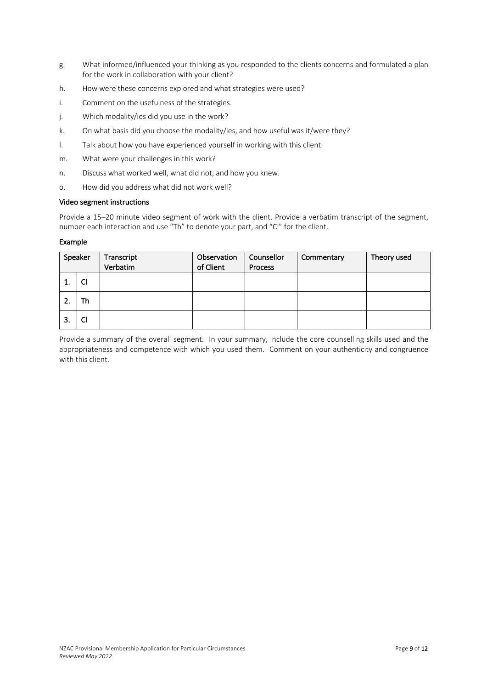- g. What informed/influenced your thinking as you responded to the clients concerns and formulated a plan for the work in collaboration with your client?
- h. How were these concerns explored and what strategies were used?
- i. Comment on the usefulness of the strategies.
- j. Which modality/ies did you use in the work?
- k. On what basis did you choose the modality/ies, and how useful was it/were they?
- l. Talk about how you have experienced yourself in working with this client.
- m. What were your challenges in this work?
- n. Discuss what worked well, what did not, and how you knew.
- o. How did you address what did not work well?

#### Video segment instructions

Provide a 15–20 minute video segment of work with the client. Provide a verbatim transcript of the segment, number each interaction and use "Th" to denote your part, and "Cl" for the client.

#### Example

| Speaker |    | Transcript<br>Verbatim | Observation<br>of Client | Counsellor<br><b>Process</b> | Commentary | Theory used |
|---------|----|------------------------|--------------------------|------------------------------|------------|-------------|
| ᅩ.      | Cl |                        |                          |                              |            |             |
| z.      | Th |                        |                          |                              |            |             |
| J.      | Cl |                        |                          |                              |            |             |

Provide a summary of the overall segment. In your summary, include the core counselling skills used and the appropriateness and competence with which you used them. Comment on your authenticity and congruence with this client.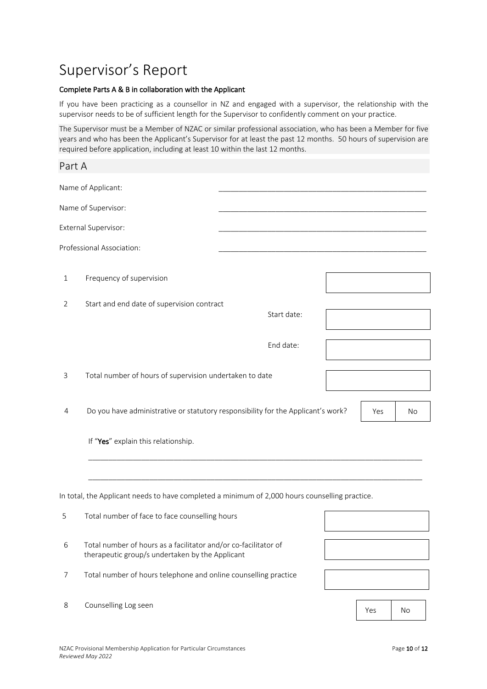# Supervisor's Report

#### Complete Parts A & B in collaboration with the Applicant

If you have been practicing as a counsellor in NZ and engaged with a supervisor, the relationship with the supervisor needs to be of sufficient length for the Supervisor to confidently comment on your practice.

The Supervisor must be a Member of NZAC or similar professional association, who has been a Member for five years and who has been the Applicant's Supervisor for at least the past 12 months. 50 hours of supervision are required before application, including at least 10 within the last 12 months.

| Part A      |                                                                                                                    |             |     |    |
|-------------|--------------------------------------------------------------------------------------------------------------------|-------------|-----|----|
|             | Name of Applicant:                                                                                                 |             |     |    |
|             | Name of Supervisor:                                                                                                |             |     |    |
|             | External Supervisor:                                                                                               |             |     |    |
|             | Professional Association:                                                                                          |             |     |    |
| $\mathbf 1$ | Frequency of supervision                                                                                           |             |     |    |
| 2           | Start and end date of supervision contract                                                                         | Start date: |     |    |
|             |                                                                                                                    | End date:   |     |    |
| 3           | Total number of hours of supervision undertaken to date                                                            |             |     |    |
| 4           | Do you have administrative or statutory responsibility for the Applicant's work?                                   |             | Yes | No |
|             | If "Yes" explain this relationship.                                                                                |             |     |    |
|             |                                                                                                                    |             |     |    |
|             | In total, the Applicant needs to have completed a minimum of 2,000 hours counselling practice.                     |             |     |    |
| 5           | Total number of face to face counselling hours                                                                     |             |     |    |
| 6           | Total number of hours as a facilitator and/or co-facilitator of<br>therapeutic group/s undertaken by the Applicant |             |     |    |
| 7           | Total number of hours telephone and online counselling practice                                                    |             |     |    |
| 8           | Counselling Log seen                                                                                               |             | Yes | No |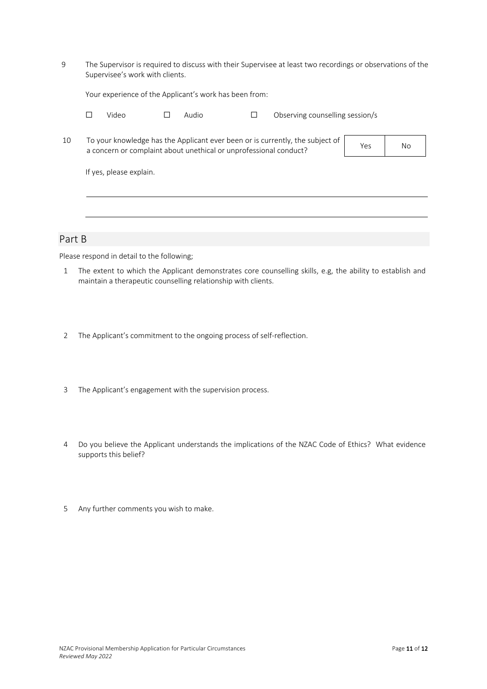9 The Supervisor is required to discuss with their Supervisee at least two recordings or observations of the Supervisee's work with clients.

Your experience of the Applicant's work has been from:

| Video | $\square$ Audio | Observing counselling session/s |  |
|-------|-----------------|---------------------------------|--|
|       |                 |                                 |  |

| 10 | To your knowledge has the Applicant ever been or is currently, the subject of | Yes | Nο |
|----|-------------------------------------------------------------------------------|-----|----|
|    | a concern or complaint about unethical or unprofessional conduct?             |     |    |

If yes, please explain.

### Part B

Please respond in detail to the following;

- 1 The extent to which the Applicant demonstrates core counselling skills, e.g, the ability to establish and maintain a therapeutic counselling relationship with clients.
- 2 The Applicant's commitment to the ongoing process of self-reflection.
- 3 The Applicant's engagement with the supervision process.
- 4 Do you believe the Applicant understands the implications of the NZAC Code of Ethics? What evidence supports this belief?
- 5 Any further comments you wish to make.